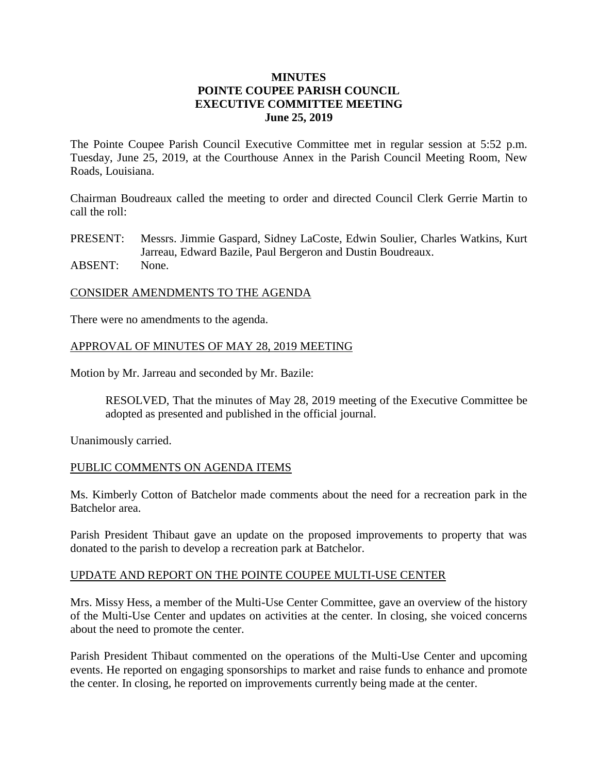## **MINUTES POINTE COUPEE PARISH COUNCIL EXECUTIVE COMMITTEE MEETING June 25, 2019**

The Pointe Coupee Parish Council Executive Committee met in regular session at 5:52 p.m. Tuesday, June 25, 2019, at the Courthouse Annex in the Parish Council Meeting Room, New Roads, Louisiana.

Chairman Boudreaux called the meeting to order and directed Council Clerk Gerrie Martin to call the roll:

PRESENT: Messrs. Jimmie Gaspard, Sidney LaCoste, Edwin Soulier, Charles Watkins, Kurt Jarreau, Edward Bazile, Paul Bergeron and Dustin Boudreaux. ABSENT: None.

#### CONSIDER AMENDMENTS TO THE AGENDA

There were no amendments to the agenda.

### APPROVAL OF MINUTES OF MAY 28, 2019 MEETING

Motion by Mr. Jarreau and seconded by Mr. Bazile:

RESOLVED, That the minutes of May 28, 2019 meeting of the Executive Committee be adopted as presented and published in the official journal.

Unanimously carried.

#### PUBLIC COMMENTS ON AGENDA ITEMS

Ms. Kimberly Cotton of Batchelor made comments about the need for a recreation park in the Batchelor area.

Parish President Thibaut gave an update on the proposed improvements to property that was donated to the parish to develop a recreation park at Batchelor.

#### UPDATE AND REPORT ON THE POINTE COUPEE MULTI-USE CENTER

Mrs. Missy Hess, a member of the Multi-Use Center Committee, gave an overview of the history of the Multi-Use Center and updates on activities at the center. In closing, she voiced concerns about the need to promote the center.

Parish President Thibaut commented on the operations of the Multi-Use Center and upcoming events. He reported on engaging sponsorships to market and raise funds to enhance and promote the center. In closing, he reported on improvements currently being made at the center.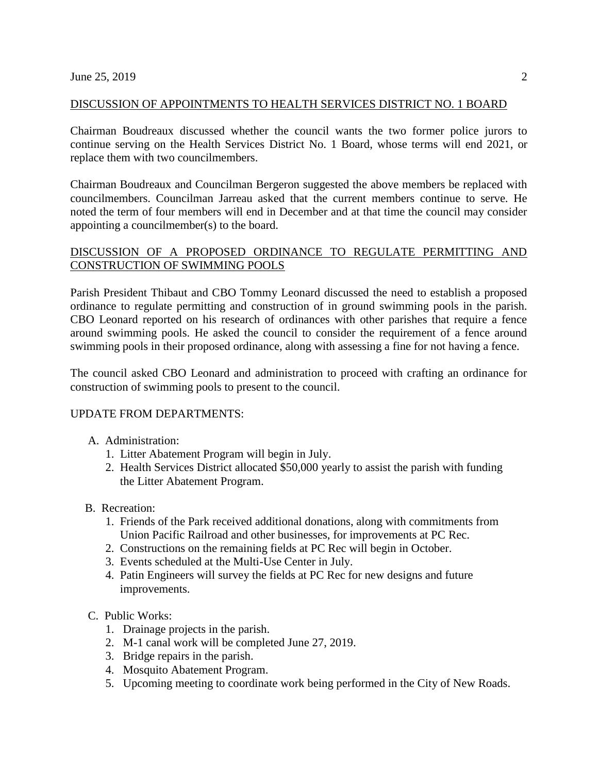## DISCUSSION OF APPOINTMENTS TO HEALTH SERVICES DISTRICT NO. 1 BOARD

Chairman Boudreaux discussed whether the council wants the two former police jurors to continue serving on the Health Services District No. 1 Board, whose terms will end 2021, or replace them with two councilmembers.

Chairman Boudreaux and Councilman Bergeron suggested the above members be replaced with councilmembers. Councilman Jarreau asked that the current members continue to serve. He noted the term of four members will end in December and at that time the council may consider appointing a councilmember(s) to the board.

# DISCUSSION OF A PROPOSED ORDINANCE TO REGULATE PERMITTING AND CONSTRUCTION OF SWIMMING POOLS

Parish President Thibaut and CBO Tommy Leonard discussed the need to establish a proposed ordinance to regulate permitting and construction of in ground swimming pools in the parish. CBO Leonard reported on his research of ordinances with other parishes that require a fence around swimming pools. He asked the council to consider the requirement of a fence around swimming pools in their proposed ordinance, along with assessing a fine for not having a fence.

The council asked CBO Leonard and administration to proceed with crafting an ordinance for construction of swimming pools to present to the council.

# UPDATE FROM DEPARTMENTS:

- A. Administration:
	- 1. Litter Abatement Program will begin in July.
	- 2. Health Services District allocated \$50,000 yearly to assist the parish with funding the Litter Abatement Program.
- B. Recreation:
	- 1. Friends of the Park received additional donations, along with commitments from Union Pacific Railroad and other businesses, for improvements at PC Rec.
	- 2. Constructions on the remaining fields at PC Rec will begin in October.
	- 3. Events scheduled at the Multi-Use Center in July.
	- 4. Patin Engineers will survey the fields at PC Rec for new designs and future improvements.
- C. Public Works:
	- 1. Drainage projects in the parish.
	- 2. M-1 canal work will be completed June 27, 2019.
	- 3. Bridge repairs in the parish.
	- 4. Mosquito Abatement Program.
	- 5. Upcoming meeting to coordinate work being performed in the City of New Roads.